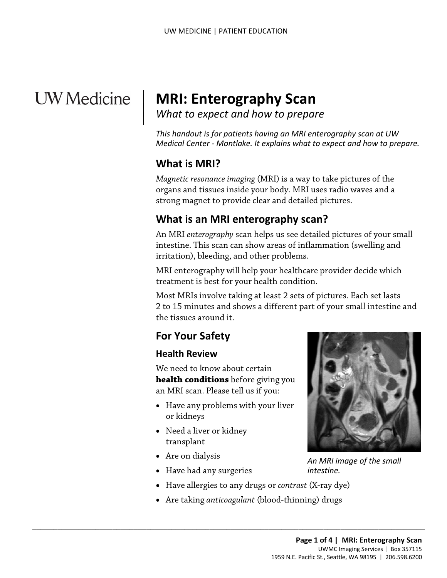# **UW** Medicine

# <sup>|</sup>**MRI: Enterography Scan** | *What to expect and how to prepare* <sup>|</sup>

 *Medical Center - Montlake. It explains what to expect and how to prepare. This handout is for patients having an MRI enterography scan at UW* 

#### **What is MRI?**

 $\overline{\phantom{a}}$ 

*Magnetic resonance imaging* (MRI) is a way to take pictures of the organs and tissues inside your body. MRI uses radio waves and a strong magnet to provide clear and detailed pictures.

#### **What is an MRI enterography scan?**

What is an MRI enterography scan?<br>An MRI enterography scan helps us see detailed pictures of your sm<br>intestine. This scan can show areas of inflammation (swelling and<br>irritation), bleeding, and other problems.<br>MRI enterogr An MRI *enterography* scan helps us see detailed pictures of your small intestine. This scan can show areas of inflammation (swelling and irritation), bleeding, and other problems.

MRI enterography will help your healthcare provider decide which treatment is best for your health condition.

Most MRIs involve taking at least 2 sets of pictures. Each set lasts 2 to 15 minutes and shows a different part of your small intestine and the tissues around it.

#### **For Your Safety**

#### **Health Review**

We need to know about certain **health conditions** before giving you an MRI scan. Please tell us if you:

- Have any problems with your liver or kidneys
- Need a liver or kidney transplant
- Are on dialysis
- Have had any surgeries
- Have allergies to any drugs or *contrast* (X-ray dye)
- Are taking *anticoagulant* (blood-thinning) drugs

 $\_$  , and the set of the set of the set of the set of the set of the set of the set of the set of the set of the set of the set of the set of the set of the set of the set of the set of the set of the set of the set of th



 *An MRI image of the small intestine.*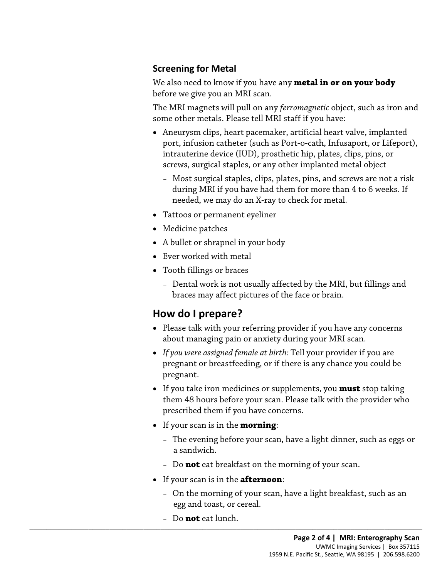#### **Screening for Metal**

We also need to know if you have any **metal in or on your body**  before we give you an MRI scan.

The MRI magnets will pull on any *ferromagnetic* object, such as iron and some other metals. Please tell MRI staff if you have:

- Aneurysm clips, heart pacemaker, artificial heart valve, implanted port, infusion catheter (such as Port-o-cath, Infusaport, or Lifeport), intrauterine device (IUD), prosthetic hip, plates, clips, pins, or screws, surgical staples, or any other implanted metal object
	- Most surgical staples, clips, plates, pins, and screws are not a risk during MRI if you have had them for more than 4 to 6 weeks. If needed, we may do an X-ray to check for metal.
- Tattoos or permanent eyeliner
- Medicine patches
- A bullet or shrapnel in your body
- Ever worked with metal
- Tooth fillings or braces
- Tattoos or permanent eyeliner<br>
 Medicine patches<br>
 A bullet or shrapnel in your body<br>
 Ever worked with metal<br>
 Tooth fillings or braces<br>
 Dental work is not usually affected by the MRI, but fillings and<br>
braces may – Dental work is not usually affected by the MRI, but fillings and braces may affect pictures of the face or brain.

# **How do I prepare?**

- Please talk with your referring provider if you have any concerns about managing pain or anxiety during your MRI scan.
- *If you were assigned female at birth:* Tell your provider if you are pregnant or breastfeeding, or if there is any chance you could be pregnant.
- If you take iron medicines or supplements, you **must** stop taking them 48 hours before your scan. Please talk with the provider who prescribed them if you have concerns.
- If your scan is in the **morning**:
	- The evening before your scan, have a light dinner, such as eggs or a sandwich.
	- Do **not** eat breakfast on the morning of your scan.
- If your scan is in the **afternoon**:

 $\_$  ,  $\_$  ,  $\_$  ,  $\_$  ,  $\_$  ,  $\_$  ,  $\_$  ,  $\_$  ,  $\_$  ,  $\_$  ,  $\_$  ,  $\_$  ,  $\_$  ,  $\_$  ,  $\_$  ,  $\_$  ,  $\_$  ,  $\_$  ,  $\_$  ,  $\_$  ,  $\_$  ,  $\_$  ,  $\_$  ,  $\_$  ,  $\_$  ,  $\_$  ,  $\_$  ,  $\_$  ,  $\_$  ,  $\_$  ,  $\_$  ,  $\_$  ,  $\_$  ,  $\_$  ,  $\_$  ,  $\_$  ,  $\_$  ,

- On the morning of your scan, have a light breakfast, such as an egg and toast, or cereal.
- Do **not** eat lunch.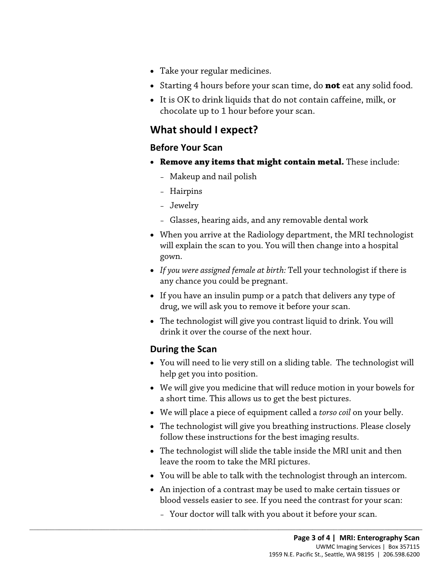- Take your regular medicines.
- Starting 4 hours before your scan time, do **not** eat any solid food.
- It is OK to drink liquids that do not contain caffeine, milk, or chocolate up to 1 hour before your scan.

# **What should I expect?**

#### **Before Your Scan**

- **Remove any items that might contain metal.** These include:
	- Makeup and nail polish
	- Hairpins
	- Jewelry
	- Glasses, hearing aids, and any removable dental work
- gown. - Glasses, hearing aids, and any removable dental work<br>
• When you arrive at the Radiology department, the MRI technologis<br>
will explain the scan to you. You will then change into a hospital<br>
gown.<br>
• If you were assigned • When you arrive at the Radiology department, the MRI technologist will explain the scan to you. You will then change into a hospital
	- *If you were assigned female at birth:* Tell your technologist if there is any chance you could be pregnant.
	- If you have an insulin pump or a patch that delivers any type of drug, we will ask you to remove it before your scan.
	- • The technologist will give you contrast liquid to drink. You will drink it over the course of the next hour.

#### **During the Scan**

- • You will need to lie very still on a sliding table. The technologist will help get you into position.
- We will give you medicine that will reduce motion in your bowels for a short time. This allows us to get the best pictures.
- We will place a piece of equipment called a *torso coil* on your belly.
- The technologist will give you breathing instructions. Please closely follow these instructions for the best imaging results.
- • The technologist will slide the table inside the MRI unit and then leave the room to take the MRI pictures.
- You will be able to talk with the technologist through an intercom.
- • An injection of a [contrast](javascript:glossAry() may be used to make certain tissues or blood vessels easier to see. If you need the contrast for your scan:
	- Your doctor will talk with you about it before your scan.

 $\_$  ,  $\_$  ,  $\_$  ,  $\_$  ,  $\_$  ,  $\_$  ,  $\_$  ,  $\_$  ,  $\_$  ,  $\_$  ,  $\_$  ,  $\_$  ,  $\_$  ,  $\_$  ,  $\_$  ,  $\_$  ,  $\_$  ,  $\_$  ,  $\_$  ,  $\_$  ,  $\_$  ,  $\_$  ,  $\_$  ,  $\_$  ,  $\_$  ,  $\_$  ,  $\_$  ,  $\_$  ,  $\_$  ,  $\_$  ,  $\_$  ,  $\_$  ,  $\_$  ,  $\_$  ,  $\_$  ,  $\_$  ,  $\_$  ,